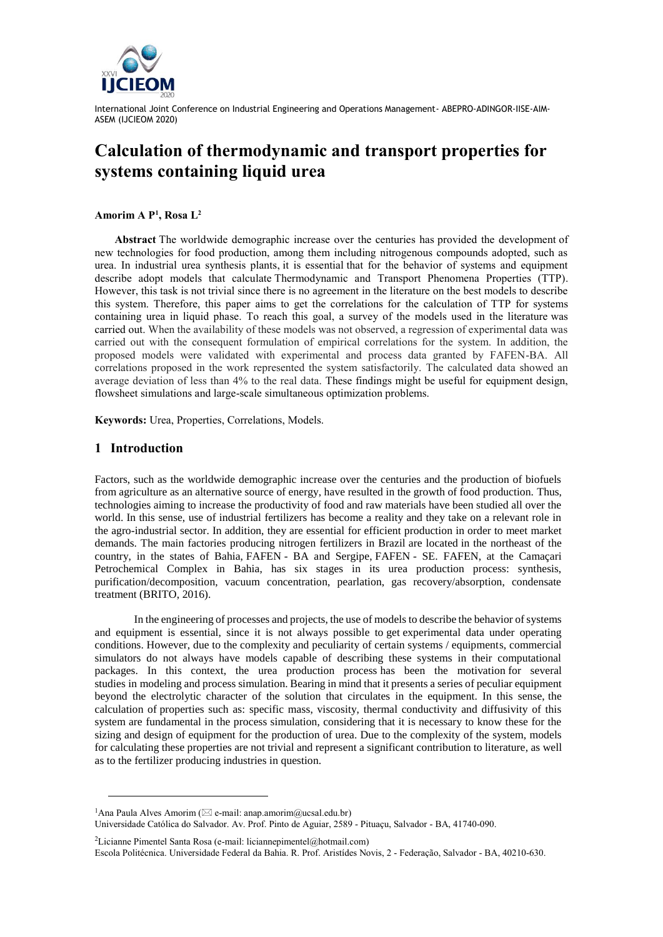

# **Calculation of thermodynamic and transport properties for systems containing liquid urea**

**Amorim A P<sup>1</sup> , Rosa L<sup>2</sup>**

**Abstract** The worldwide demographic increase over the centuries has provided the development of new technologies for food production, among them including nitrogenous compounds adopted, such as urea. In industrial urea synthesis plants, it is essential that for the behavior of systems and equipment describe adopt models that calculate Thermodynamic and Transport Phenomena Properties (TTP). However, this task is not trivial since there is no agreement in the literature on the best models to describe this system. Therefore, this paper aims to get the correlations for the calculation of TTP for systems containing urea in liquid phase. To reach this goal, a survey of the models used in the literature was carried out. When the availability of these models was not observed, a regression of experimental data was carried out with the consequent formulation of empirical correlations for the system. In addition, the proposed models were validated with experimental and process data granted by FAFEN-BA. All correlations proposed in the work represented the system satisfactorily. The calculated data showed an average deviation of less than 4% to the real data. These findings might be useful for equipment design, flowsheet simulations and large-scale simultaneous optimization problems.

**Keywords:** Urea, Properties, Correlations, Models.

## **1 Introduction**

l

Factors, such as the worldwide demographic increase over the centuries and the production of biofuels from agriculture as an alternative source of energy, have resulted in the growth of food production. Thus, technologies aiming to increase the productivity of food and raw materials have been studied all over the world. In this sense, use of industrial fertilizers has become a reality and they take on a relevant role in the agro-industrial sector. In addition, they are essential for efficient production in order to meet market demands. The main factories producing nitrogen fertilizers in Brazil are located in the northeast of the country, in the states of Bahia, FAFEN - BA and Sergipe, FAFEN - SE. FAFEN, at the Camaçari Petrochemical Complex in Bahia, has six stages in its urea production process: synthesis, purification/decomposition, vacuum concentration, pearlation, gas recovery/absorption, condensate treatment (BRITO, 2016).

In the engineering of processes and projects, the use of models to describe the behavior of systems and equipment is essential, since it is not always possible to get experimental data under operating conditions. However, due to the complexity and peculiarity of certain systems / equipments, commercial simulators do not always have models capable of describing these systems in their computational packages. In this context, the urea production process has been the motivation for several studies in modeling and process simulation. Bearing in mind that it presents a series of peculiar equipment beyond the electrolytic character of the solution that circulates in the equipment. In this sense, the calculation of properties such as: specific mass, viscosity, thermal conductivity and diffusivity of this system are fundamental in the process simulation, considering that it is necessary to know these for the sizing and design of equipment for the production of urea. Due to the complexity of the system, models for calculating these properties are not trivial and represent a significant contribution to literature, as well as to the fertilizer producing industries in question.

<sup>2</sup>Licianne Pimentel Santa Rosa (e-mail: liciannepimentel@hotmail.com)

<sup>&</sup>lt;sup>1</sup>Ana Paula Alves Amorim ( $\boxtimes$  e-mail: anap.amorim@ucsal.edu.br)

Universidade Católica do Salvador. Av. Prof. Pinto de Aguiar, 2589 - Pituaçu, Salvador - BA, 41740-090.

Escola Politécnica. Universidade Federal da Bahia. R. Prof. Aristídes Novis, 2 - Federação, Salvador - BA, 40210-630.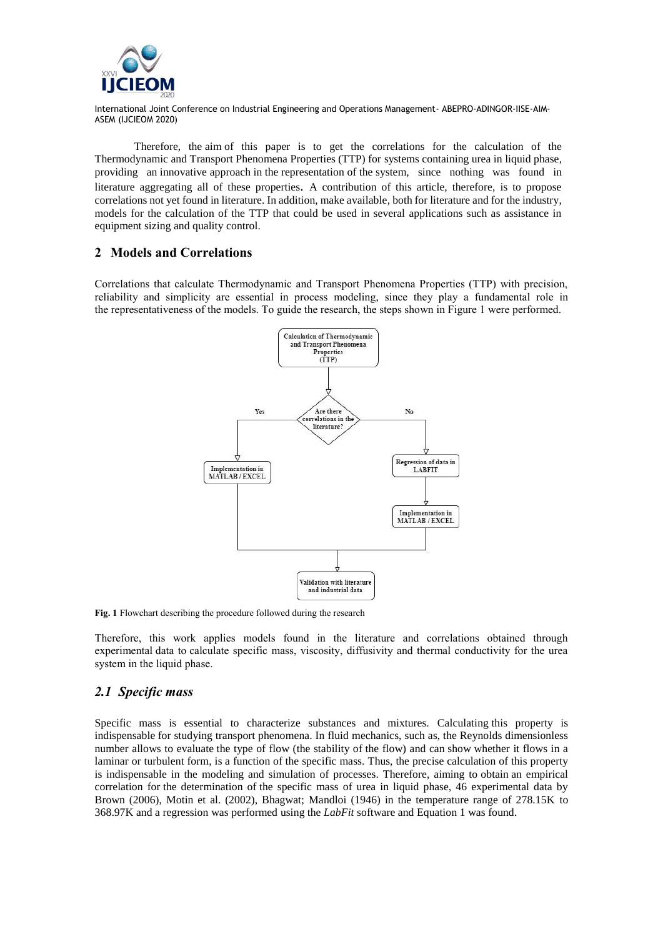

Therefore, the aim of this paper is to get the correlations for the calculation of the Thermodynamic and Transport Phenomena Properties (TTP) for systems containing urea in liquid phase, providing [an](https://dictionary.cambridge.org/pt/dicionario/ingles-portugues/an) [innovative](https://dictionary.cambridge.org/pt/dicionario/ingles-portugues/innovative) [approach](https://dictionary.cambridge.org/pt/dicionario/ingles-portugues/approach) [in](https://dictionary.cambridge.org/pt/dicionario/ingles-portugues/in) [the](https://dictionary.cambridge.org/pt/dicionario/ingles-portugues/the) [representation](https://dictionary.cambridge.org/pt/dicionario/ingles-portugues/representation) [of](https://dictionary.cambridge.org/pt/dicionario/ingles-portugues/of) [the](https://dictionary.cambridge.org/pt/dicionario/ingles-portugues/the) [system,](https://dictionary.cambridge.org/pt/dicionario/ingles-portugues/system) since nothing was found in literature aggregating all of these properties. A contribution of this article, therefore, is to propose correlations not yet found in literature. In addition, make available, both for literature and for the industry, models for the calculation of the TTP that could be used in several applications such as assistance in equipment sizing and quality control.

# **2 Models and Correlations**

Correlations that calculate Thermodynamic and Transport Phenomena Properties (TTP) with precision, reliability and simplicity are essential in process modeling, since they play a fundamental role in the representativeness of the models. To guide the research, the steps shown in Figure 1 were performed.



**Fig. 1** Flowchart describing the procedure followed during the research

Therefore, this work applies models found in the literature and correlations obtained through experimental data to calculate specific mass, viscosity, diffusivity and thermal conductivity for the urea system in the liquid phase.

# *2.1 Specific mass*

Specific mass is essential to characterize substances and mixtures. Calculating this property is indispensable for studying transport phenomena. In fluid mechanics, such as, the Reynolds dimensionless number allows to evaluate the type of flow (the stability of the flow) and can show whether it flows in a laminar or turbulent form, is a function of the specific mass. Thus, the precise calculation of this property is indispensable in the modeling and simulation of processes. Therefore, aiming to obtain an empirical correlation for the determination of the specific mass of urea in liquid phase, 46 experimental data by Brown (2006), Motin et al. (2002), Bhagwat; Mandloi (1946) in the temperature range of 278.15K to 368.97K and a regression was performed using the *LabFit* software and Equation 1 was found.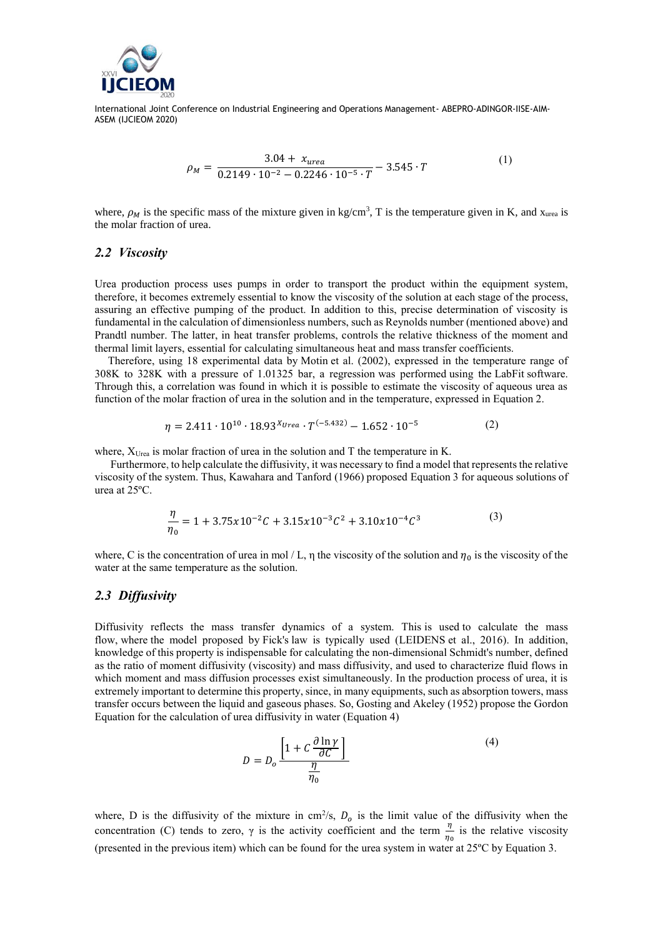

$$
\rho_M = \frac{3.04 + x_{urea}}{0.2149 \cdot 10^{-2} - 0.2246 \cdot 10^{-5} \cdot T} - 3.545 \cdot T \tag{1}
$$

where,  $\rho_M$  is the specific mass of the mixture given in kg/cm<sup>3</sup>, T is the temperature given in K, and x<sub>urea</sub> is the molar fraction of urea.

#### *2.2 Viscosity*

Urea production process uses pumps in order to transport the product within the equipment system, therefore, it becomes extremely essential to know the viscosity of the solution at each stage of the process, assuring an effective pumping of the product. In addition to this, precise determination of viscosity is fundamental in the calculation of dimensionless numbers, such as Reynolds number (mentioned above) and Prandtl number. The latter, in heat transfer problems, controls the relative thickness of the moment and thermal limit layers, essential for calculating simultaneous heat and mass transfer coefficients.

Therefore, using 18 experimental data by Motin et al. (2002), expressed in the temperature range of 308K to 328K with a pressure of 1.01325 bar, a regression was performed using the LabFit software. Through this, a correlation was found in which it is possible to estimate the viscosity of aqueous urea as function of the molar fraction of urea in the solution and in the temperature, expressed in Equation 2.

$$
\eta = 2.411 \cdot 10^{10} \cdot 18.93^{X_{Urea}} \cdot T^{(-5.432)} - 1.652 \cdot 10^{-5}
$$
 (2)

where,  $X_{U_{\text{rea}}}$  is molar fraction of urea in the solution and T the temperature in K.

Furthermore, to help calculate the diffusivity, it was necessary to find a model that represents the relative viscosity of the system. Thus, Kawahara and Tanford (1966) proposed Equation 3 for aqueous solutions of urea at 25ºC.

$$
\frac{\eta}{\eta_0} = 1 + 3.75x10^{-2}C + 3.15x10^{-3}C^2 + 3.10x10^{-4}C^3
$$
\n(3)

where, C is the concentration of urea in mol / L,  $\eta$  the viscosity of the solution and  $\eta_0$  is the viscosity of the water at the same temperature as the solution.

#### *2.3 Diffusivity*

Diffusivity reflects the mass transfer dynamics of a system. This is used to calculate the mass flow, where the model proposed by Fick's law is typically used (LEIDENS et al., 2016). In addition, knowledge of this property is indispensable for calculating the non-dimensional Schmidt's number, defined as the ratio of moment diffusivity (viscosity) and mass diffusivity, and used to characterize fluid flows in which moment and mass diffusion processes exist simultaneously. In the production process of urea, it is extremely important to determine this property, since, in many equipments, such as absorption towers, mass transfer occurs between the liquid and gaseous phases. So, Gosting and Akeley (1952) propose the Gordon Equation for the calculation of urea diffusivity in water (Equation 4)

$$
D = D_o \frac{\left[1 + C \frac{\partial \ln \gamma}{\partial C}\right]}{\frac{\eta}{\eta_0}}
$$
 (4)

where, D is the diffusivity of the mixture in cm<sup>2</sup>/s,  $D<sub>o</sub>$  is the limit value of the diffusivity when the concentration (C) tends to zero,  $\gamma$  is the activity coefficient and the term  $\frac{\eta}{\eta_0}$  is the relative viscosity (presented in the previous item) which can be found for the urea system in water at 25ºC by Equation 3.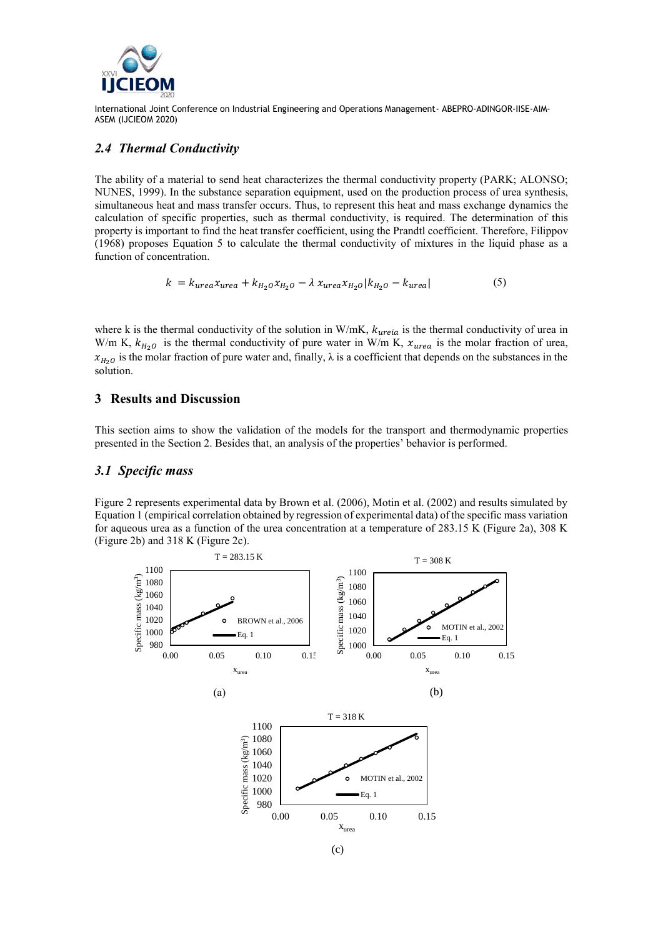

# *2.4 Thermal Conductivity*

The ability of a material to send heat characterizes the thermal conductivity property (PARK; ALONSO; NUNES, 1999). In the substance separation equipment, used on the production process of urea synthesis, simultaneous heat and mass transfer occurs. Thus, to represent this heat and mass exchange dynamics the calculation of specific properties, such as thermal conductivity, is required. The determination of this property is important to find the heat transfer coefficient, using the Prandtl coefficient. Therefore, Filippov (1968) proposes Equation 5 to calculate the thermal conductivity of mixtures in the liquid phase as a function of concentration.

$$
k = k_{urea} x_{urea} + k_{H_2 0} x_{H_2 0} - \lambda x_{urea} x_{H_2 0} | k_{H_2 0} - k_{urea} |
$$
 (5)

where k is the thermal conductivity of the solution in W/mK,  $k_{ureia}$  is the thermal conductivity of urea in W/m K,  $k_{H_2O}$  is the thermal conductivity of pure water in W/m K,  $x_{urea}$  is the molar fraction of urea,  $x_{H_2O}$  is the molar fraction of pure water and, finally,  $\lambda$  is a coefficient that depends on the substances in the solution.

### **3 Results and Discussion**

This section aims to show the validation of the models for the transport and thermodynamic properties presented in the Section 2. Besides that, an analysis of the properties' behavior is performed.

### *3.1 Specific mass*

Figure 2 represents experimental data by Brown et al. (2006), Motin et al. (2002) and results simulated by Equation 1 (empirical correlation obtained by regression of experimental data) of the specific mass variation for aqueous urea as a function of the urea concentration at a temperature of 283.15 K (Figure 2a), 308 K (Figure 2b) and 318 K (Figure 2c).

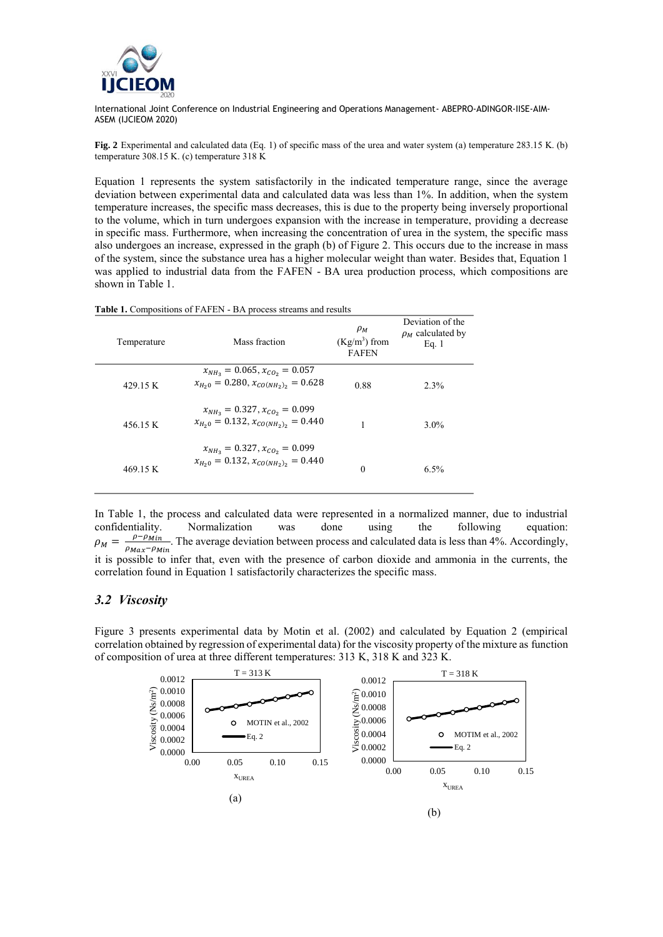

**Fig. 2** Experimental and calculated data (Eq. 1) of specific mass of the urea and water system (a) temperature 283.15 K. (b) temperature 308.15 K. (c) temperature 318 K

Equation 1 represents the system satisfactorily in the indicated temperature range, since the average deviation between experimental data and calculated data was less than 1%. In addition, when the system temperature increases, the specific mass decreases, this is due to the property being inversely proportional to the volume, which in turn undergoes expansion with the increase in temperature, providing a decrease in specific mass. Furthermore, when increasing the concentration of urea in the system, the specific mass also undergoes an increase, expressed in the graph (b) of Figure 2. This occurs due to the increase in mass of the system, since the substance urea has a higher molecular weight than water. Besides that, Equation 1 was applied to industrial data from the FAFEN - BA urea production process, which compositions are shown in Table 1.

| Temperature | Mass fraction                                                                      | $\rho_M$<br>$(Kg/m^3)$ from<br><b>FAFEN</b> | Deviation of the<br>$\rho_M$ calculated by<br>Eq. $1$ |
|-------------|------------------------------------------------------------------------------------|---------------------------------------------|-------------------------------------------------------|
| 429.15 K    | $x_{NH_2} = 0.065, x_{CO_2} = 0.057$<br>$x_{H_20} = 0.280, x_{CO(NH_2)_2} = 0.628$ | 0.88                                        | $2.3\%$                                               |
| 456.15 K    | $x_{NH_2} = 0.327, x_{CO_2} = 0.099$<br>$x_{H_20} = 0.132, x_{CO(NH_2)_2} = 0.440$ |                                             | $3.0\%$                                               |
| 469.15 K    | $x_{NH_2} = 0.327, x_{CO_2} = 0.099$<br>$x_{H_20} = 0.132, x_{CO(NH_2)_2} = 0.440$ | $\theta$                                    | $6.5\%$                                               |

**Table 1.** Compositions of FAFEN - BA process streams and results

In Table 1, the process and calculated data were represented in a normalized manner, due to industrial confidentiality. Normalization was done using the following equation:  $\rho_M =$  $\rho-\rho_{Min}$  $\rho_{Max}-\rho_{Min}$ . The average deviation between process and calculated data is less than 4%. Accordingly, it is possible to infer that, even with the presence of carbon dioxide and ammonia in the currents, the correlation found in Equation 1 satisfactorily characterizes the specific mass.

### *3.2 Viscosity*

Figure 3 presents experimental data by Motin et al. (2002) and calculated by Equation 2 (empirical correlation obtained by regression of experimental data) for the viscosity property of the mixture as function of composition of urea at three different temperatures: 313 K, 318 K and 323 K.

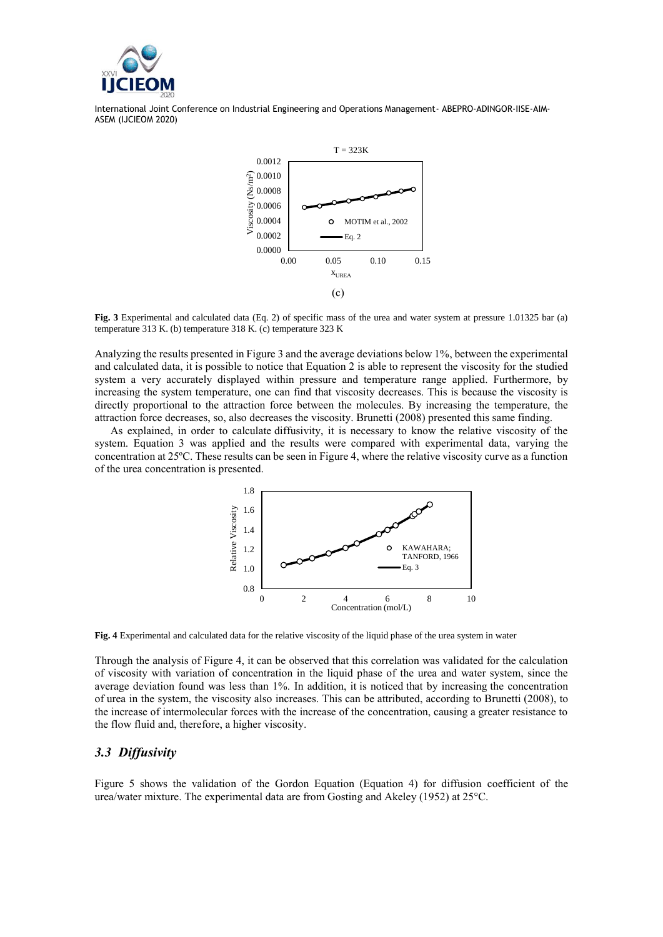



**Fig. 3** Experimental and calculated data (Eq. 2) of specific mass of the urea and water system at pressure 1.01325 bar (a) temperature 313 K. (b) temperature 318 K. (c) temperature 323 K

Analyzing the results presented in Figure 3 and the average deviations below 1%, between the experimental and calculated data, it is possible to notice that Equation 2 is able to represent the viscosity for the studied system a very accurately displayed within pressure and temperature range applied. Furthermore, by increasing the system temperature, one can find that viscosity decreases. This is because the viscosity is directly proportional to the attraction force between the molecules. By increasing the temperature, the attraction force decreases, so, also decreases the viscosity. Brunetti (2008) presented this same finding.

As explained, in order to calculate diffusivity, it is necessary to know the relative viscosity of the system. Equation 3 was applied and the results were compared with experimental data, varying the concentration at 25ºC. These results can be seen in Figure 4, where the relative viscosity curve as a function of the urea concentration is presented.



**Fig. 4** Experimental and calculated data for the relative viscosity of the liquid phase of the urea system in water

Through the analysis of Figure 4, it can be observed that this correlation was validated for the calculation of viscosity with variation of concentration in the liquid phase of the urea and water system, since the average deviation found was less than 1%. In addition, it is noticed that by increasing the concentration of urea in the system, the viscosity also increases. This can be attributed, according to Brunetti (2008), to the increase of intermolecular forces with the increase of the concentration, causing a greater resistance to the flow fluid and, therefore, a higher viscosity.

### *3.3 Diffusivity*

Figure 5 shows the validation of the Gordon Equation (Equation 4) for diffusion coefficient of the urea/water mixture. The experimental data are from Gosting and Akeley (1952) at 25°C.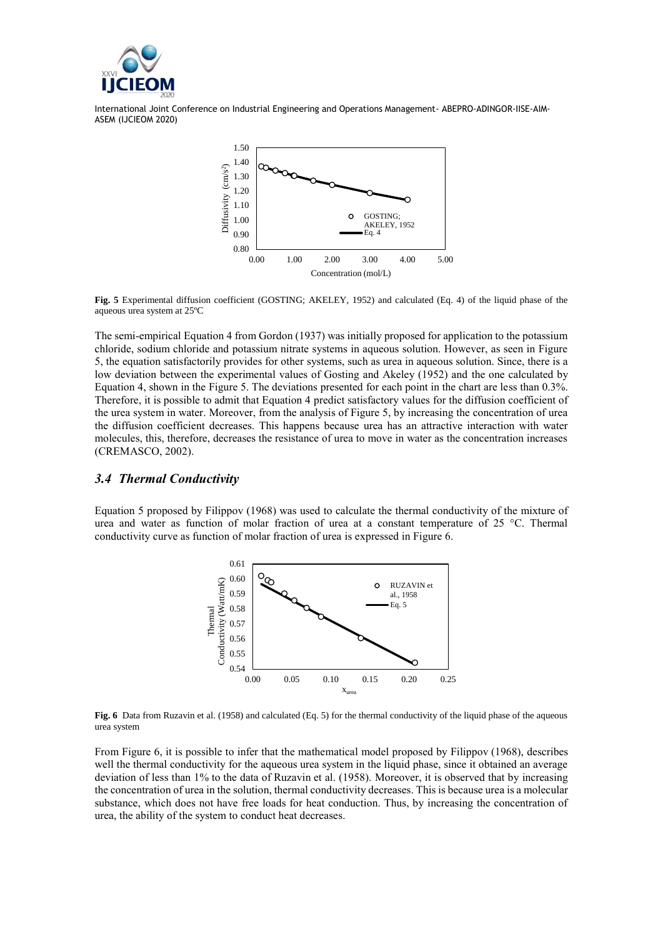



**Fig. 5** Experimental diffusion coefficient (GOSTING; AKELEY, 1952) and calculated (Eq. 4) of the liquid phase of the aqueous urea system at 25ºC

The semi-empirical Equation 4 from Gordon (1937) was initially proposed for application to the potassium chloride, sodium chloride and potassium nitrate systems in aqueous solution. However, as seen in Figure 5, the equation satisfactorily provides for other systems, such as urea in aqueous solution. Since, there is a low deviation between the experimental values of Gosting and Akeley (1952) and the one calculated by Equation 4, shown in the Figure 5. The deviations presented for each point in the chart are less than 0.3%. Therefore, it is possible to admit that Equation 4 predict satisfactory values for the diffusion coefficient of the urea system in water. Moreover, from the analysis of Figure 5, by increasing the concentration of urea the diffusion coefficient decreases. This happens because urea has an attractive interaction with water molecules, this, therefore, decreases the resistance of urea to move in water as the concentration increases (CREMASCO, 2002).

### *3.4 Thermal Conductivity*

Equation 5 proposed by Filippov (1968) was used to calculate the thermal conductivity of the mixture of urea and water as function of molar fraction of urea at a constant temperature of 25 °C. Thermal conductivity curve as function of molar fraction of urea is expressed in Figure 6.



**Fig. 6** Data from Ruzavin et al. (1958) and calculated (Eq. 5) for the thermal conductivity of the liquid phase of the aqueous urea system

From Figure 6, it is possible to infer that the mathematical model proposed by Filippov (1968), describes well the thermal conductivity for the aqueous urea system in the liquid phase, since it obtained an average deviation of less than 1% to the data of Ruzavin et al. (1958). Moreover, it is observed that by increasing the concentration of urea in the solution, thermal conductivity decreases. This is because urea is a molecular substance, which does not have free loads for heat conduction. Thus, by increasing the concentration of urea, the ability of the system to conduct heat decreases.